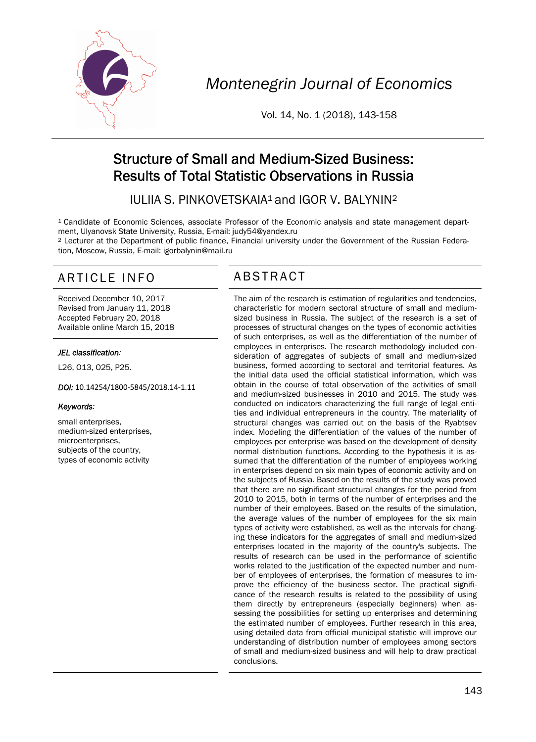

*Montenegrin Journal of Economics* 

Vol. 14, No. 1 (2018), 143-158

# Structure of Small and Medium-Sized Business: Results of Total Statistic Observations in Russia

IULIIA S. PINKOVETSKAIA<sup>1</sup> and IGOR V. BALYNIN<sup>2</sup>

1 Candidate of Economic Sciences, associate Professor of the Economic analysis and state management department, Ulyanovsk State University, Russia, E-mail: judy54@yandex.ru

2 Lecturer at the Department of public finance, Financial university under the Government of the Russian Federation, Moscow, Russia, E-mail: igorbalynin@mail.ru

## ARTICLE INFO ABSTRACT

Received December 10, 2017 Revised from January 11, 2018 Accepted February 20, 2018 Available online March 15, 2018

#### *JEL classification:*

L26, O13, O25, P25.

*DOI:* 10.14254/1800‐5845/2018.14‐1.11

#### *Keywords:*

small enterprises, medium-sized enterprises, microenterprises, subjects of the country, types of economic activity

 The aim of the research is estimation of regularities and tendencies, characteristic for modern sectoral structure of small and mediumsized business in Russia. The subject of the research is a set of processes of structural changes on the types of economic activities of such enterprises, as well as the differentiation of the number of employees in enterprises. The research methodology included consideration of aggregates of subjects of small and medium-sized business, formed according to sectoral and territorial features. As the initial data used the official statistical information, which was obtain in the course of total observation of the activities of small and medium-sized businesses in 2010 and 2015. The study was conducted on indicators characterizing the full range of legal entities and individual entrepreneurs in the country. The materiality of structural changes was carried out on the basis of the Ryabtsev index. Modeling the differentiation of the values of the number of employees per enterprise was based on the development of density normal distribution functions. According to the hypothesis it is assumed that the differentiation of the number of employees working in enterprises depend on six main types of economic activity and on the subjects of Russia. Based on the results of the study was proved that there are no significant structural changes for the period from 2010 to 2015, both in terms of the number of enterprises and the number of their employees. Based on the results of the simulation, the average values of the number of employees for the six main types of activity were established, as well as the intervals for changing these indicators for the aggregates of small and medium-sized enterprises located in the majority of the country's subjects. The results of research can be used in the performance of scientific works related to the justification of the expected number and number of employees of enterprises, the formation of measures to improve the efficiency of the business sector. The practical significance of the research results is related to the possibility of using them directly by entrepreneurs (especially beginners) when assessing the possibilities for setting up enterprises and determining the estimated number of employees. Further research in this area, using detailed data from official municipal statistic will improve our understanding of distribution number of employees among sectors of small and medium-sized business and will help to draw practical conclusions.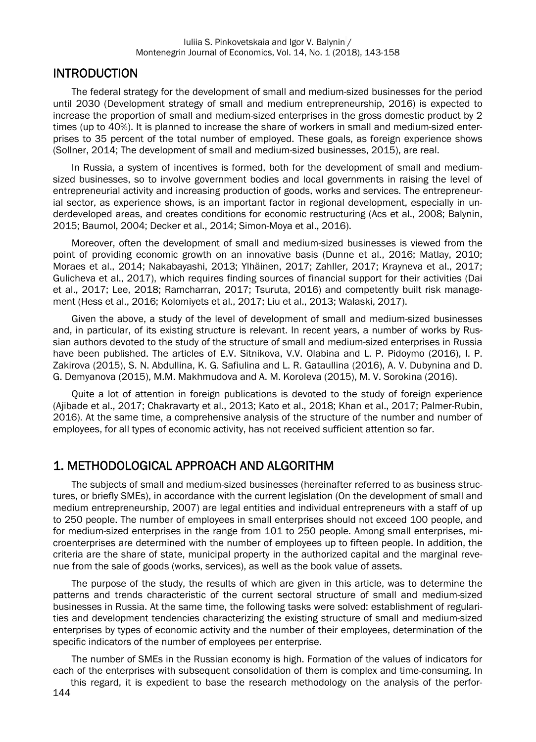#### INTRODUCTION

The federal strategy for the development of small and medium-sized businesses for the period until 2030 (Development strategy of small and medium entrepreneurship, 2016) is expected to increase the proportion of small and medium-sized enterprises in the gross domestic product by 2 times (up to 40%). It is planned to increase the share of workers in small and medium-sized enterprises to 35 percent of the total number of employed. These goals, as foreign experience shows (Sollner, 2014; The development of small and medium-sized businesses, 2015), are real.

In Russia, a system of incentives is formed, both for the development of small and mediumsized businesses, so to involve government bodies and local governments in raising the level of entrepreneurial activity and increasing production of goods, works and services. The entrepreneurial sector, as experience shows, is an important factor in regional development, especially in underdeveloped areas, and creates conditions for economic restructuring (Acs et al., 2008; Balynin, 2015; Baumol, 2004; Decker et al., 2014; Simon-Moya et al., 2016).

Moreover, often the development of small and medium-sized businesses is viewed from the point of providing economic growth on an innovative basis (Dunne et al., 2016; Matlay, 2010; Moraes et al., 2014; Nakabayashi, 2013; Ylhäinen, 2017; Zahller, 2017; Кrayneva et al., 2017; Gulicheva et al., 2017), which requires finding sources of financial support for their activities (Dai et al., 2017; Lee, 2018; Ramcharran, 2017; Tsuruta, 2016) and competently built risk management (Hess et al., 2016; Kolomiyets et al., 2017; Liu et al., 2013; Walaski, 2017).

Given the above, a study of the level of development of small and medium-sized businesses and, in particular, of its existing structure is relevant. In recent years, a number of works by Russian authors devoted to the study of the structure of small and medium-sized enterprises in Russia have been published. The articles of E.V. Sitnikova, V.V. Olabina and L. P. Pidoymo (2016), I. P. Zakirova (2015), S. N. Abdullina, K. G. Safiulina and L. R. Gataullina (2016), A. V. Dubynina and D. G. Demyanova (2015), M.M. Makhmudova and A. M. Koroleva (2015), M. V. Sorokina (2016).

Quite a lot of attention in foreign publications is devoted to the study of foreign experience (Ajibade et al., 2017; Chakravarty et al., 2013; Kato et al., 2018; Khan et al., 2017; Palmer-Rubin, 2016). At the same time, a comprehensive analysis of the structure of the number and number of employees, for all types of economic activity, has not received sufficient attention so far.

#### 1. METHODOLOGICAL APPROACH AND ALGORITHM

The subjects of small and medium-sized businesses (hereinafter referred to as business structures, or briefly SMEs), in accordance with the current legislation (On the development of small and medium entrepreneurship, 2007) are legal entities and individual entrepreneurs with a staff of up to 250 people. The number of employees in small enterprises should not exceed 100 people, and for medium-sized enterprises in the range from 101 to 250 people. Among small enterprises, microenterprises are determined with the number of employees up to fifteen people. In addition, the criteria are the share of state, municipal property in the authorized capital and the marginal revenue from the sale of goods (works, services), as well as the book value of assets.

The purpose of the study, the results of which are given in this article, was to determine the patterns and trends characteristic of the current sectoral structure of small and medium-sized businesses in Russia. At the same time, the following tasks were solved: establishment of regularities and development tendencies characterizing the existing structure of small and medium-sized enterprises by types of economic activity and the number of their employees, determination of the specific indicators of the number of employees per enterprise.

The number of SMEs in the Russian economy is high. Formation of the values of indicators for each of the enterprises with subsequent consolidation of them is complex and time-consuming. In

144 this regard, it is expedient to base the research methodology on the analysis of the perfor-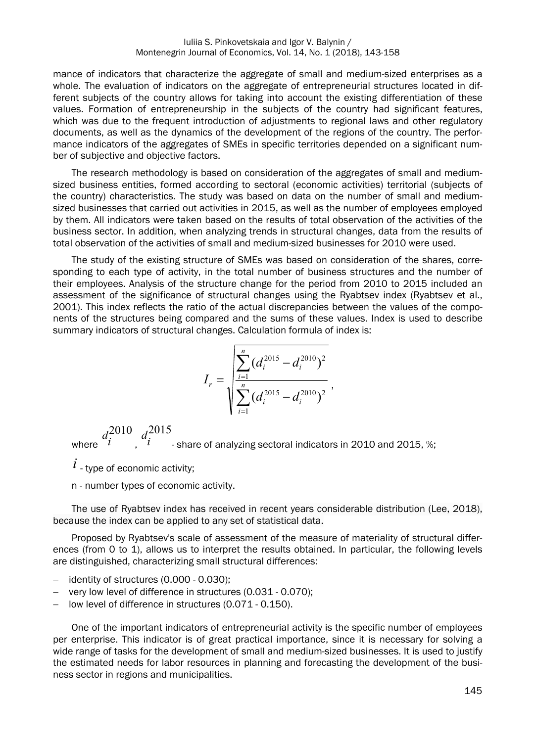mance of indicators that characterize the aggregate of small and medium-sized enterprises as a whole. The evaluation of indicators on the aggregate of entrepreneurial structures located in different subjects of the country allows for taking into account the existing differentiation of these values. Formation of entrepreneurship in the subjects of the country had significant features, which was due to the frequent introduction of adjustments to regional laws and other regulatory documents, as well as the dynamics of the development of the regions of the country. The performance indicators of the aggregates of SMEs in specific territories depended on a significant number of subjective and objective factors.

The research methodology is based on consideration of the aggregates of small and mediumsized business entities, formed according to sectoral (economic activities) territorial (subjects of the country) characteristics. The study was based on data on the number of small and mediumsized businesses that carried out activities in 2015, as well as the number of employees employed by them. All indicators were taken based on the results of total observation of the activities of the business sector. In addition, when analyzing trends in structural changes, data from the results of total observation of the activities of small and medium-sized businesses for 2010 were used.

The study of the existing structure of SMEs was based on consideration of the shares, corresponding to each type of activity, in the total number of business structures and the number of their employees. Analysis of the structure change for the period from 2010 to 2015 included an assessment of the significance of structural changes using the Ryabtsev index (Ryabtsev et al., 2001). This index reflects the ratio of the actual discrepancies between the values of the components of the structures being compared and the sums of these values. Index is used to describe summary indicators of structural changes. Calculation formula of index is:

$$
I_r = \sqrt{\sum_{i=1}^n (d_i^{2015} - d_i^{2010})^2 \over \sum_{i=1}^n (d_i^{2015} - d_i^{2010})^2},
$$

where 2010  $d_i^{2010}$ <sub>,</sub>  $d_i^{2015}$ *i d* - share of analyzing sectoral indicators in 2010 and 2015, %;

 $\hat{i}$  - type of economic activity;

n - number types of economic activity.

The use of Ryabtsev index has received in recent years considerable distribution (Lee, 2018), because the index can be applied to any set of statistical data.

Proposed by Ryabtsev's scale of assessment of the measure of materiality of structural differences (from 0 to 1), allows us to interpret the results obtained. In particular, the following levels are distinguished, characterizing small structural differences:

- $-$  identity of structures (0.000 0.030);
- very low level of difference in structures (0.031 0.070);
- low level of difference in structures (0.071 0.150).

One of the important indicators of entrepreneurial activity is the specific number of employees per enterprise. This indicator is of great practical importance, since it is necessary for solving a wide range of tasks for the development of small and medium-sized businesses. It is used to justify the estimated needs for labor resources in planning and forecasting the development of the business sector in regions and municipalities.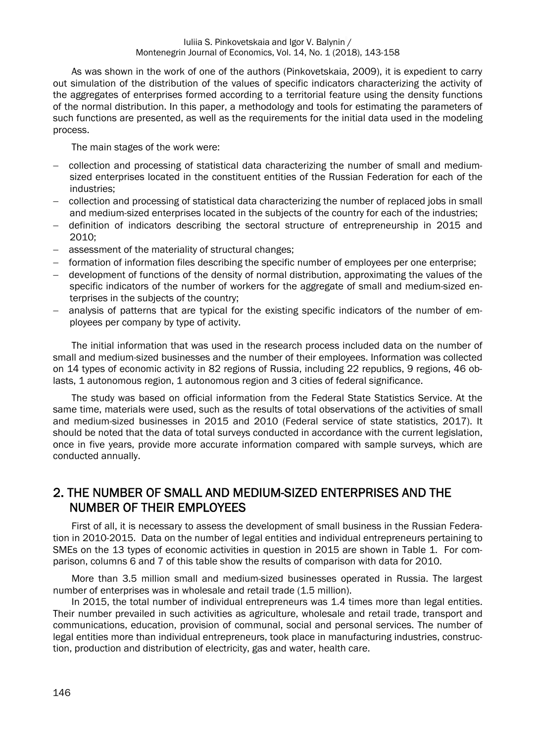As was shown in the work of one of the authors (Pinkovetskaia, 2009), it is expedient to carry out simulation of the distribution of the values of specific indicators characterizing the activity of the aggregates of enterprises formed according to a territorial feature using the density functions of the normal distribution. In this paper, a methodology and tools for estimating the parameters of such functions are presented, as well as the requirements for the initial data used in the modeling process.

The main stages of the work were:

- collection and processing of statistical data characterizing the number of small and mediumsized enterprises located in the constituent entities of the Russian Federation for each of the industries;
- collection and processing of statistical data characterizing the number of replaced jobs in small and medium-sized enterprises located in the subjects of the country for each of the industries;
- definition of indicators describing the sectoral structure of entrepreneurship in 2015 and 2010;
- assessment of the materiality of structural changes;
- formation of information files describing the specific number of employees per one enterprise;
- development of functions of the density of normal distribution, approximating the values of the specific indicators of the number of workers for the aggregate of small and medium-sized enterprises in the subjects of the country;
- analysis of patterns that are typical for the existing specific indicators of the number of employees per company by type of activity.

The initial information that was used in the research process included data on the number of small and medium-sized businesses and the number of their employees. Information was collected on 14 types of economic activity in 82 regions of Russia, including 22 republics, 9 regions, 46 oblasts, 1 autonomous region, 1 autonomous region and 3 cities of federal significance.

The study was based on official information from the Federal State Statistics Service. At the same time, materials were used, such as the results of total observations of the activities of small and medium-sized businesses in 2015 and 2010 (Federal service of state statistics, 2017). It should be noted that the data of total surveys conducted in accordance with the current legislation, once in five years, provide more accurate information compared with sample surveys, which are conducted annually.

## 2. THE NUMBER OF SMALL AND MEDIUM-SIZED ENTERPRISES AND THE NUMBER OF THEIR EMPLOYEES

First of all, it is necessary to assess the development of small business in the Russian Federation in 2010-2015. Data on the number of legal entities and individual entrepreneurs pertaining to SMEs on the 13 types of economic activities in question in 2015 are shown in Table 1. For comparison, columns 6 and 7 of this table show the results of comparison with data for 2010.

More than 3.5 million small and medium-sized businesses operated in Russia. The largest number of enterprises was in wholesale and retail trade (1.5 million).

In 2015, the total number of individual entrepreneurs was 1.4 times more than legal entities. Their number prevailed in such activities as agriculture, wholesale and retail trade, transport and communications, education, provision of communal, social and personal services. The number of legal entities more than individual entrepreneurs, took place in manufacturing industries, construction, production and distribution of electricity, gas and water, health care.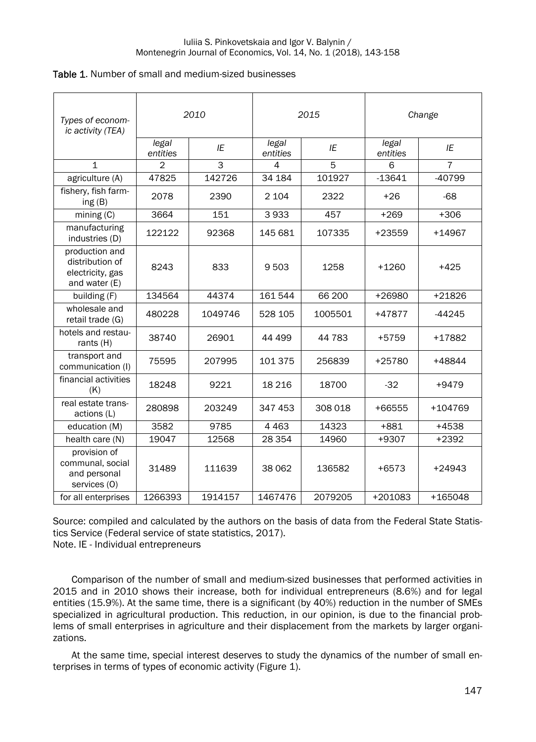#### Iuliia S. Pinkovetskaia and Igor V. Balynin / Montenegrin Journal of Economics, Vol. 14, No. 1 (2018), 143-158

|  |  |  |  | Table 1. Number of small and medium-sized businesses |  |
|--|--|--|--|------------------------------------------------------|--|
|--|--|--|--|------------------------------------------------------|--|

| Types of econom-<br>ic activity (TEA)                                  | 2010              |                | 2015              |                | Change            |                |
|------------------------------------------------------------------------|-------------------|----------------|-------------------|----------------|-------------------|----------------|
|                                                                        | legal<br>entities | IE             | legal<br>entities | IE             | legal<br>entities | IE             |
| $\mathbf{1}$                                                           | $\overline{2}$    | $\overline{3}$ | 4                 | $\overline{5}$ | 6                 | $\overline{7}$ |
| agriculture (A)                                                        | 47825             | 142726         | 34 184            | 101927         | $-13641$          | -40799         |
| fishery, fish farm-<br>ing $(B)$                                       | 2078              | 2390           | 2 1 0 4           | 2322           | $+26$             | -68            |
| mining(G)                                                              | 3664              | 151            | 3933              | 457            | $+269$            | $+306$         |
| manufacturing<br>industries (D)                                        | 122122            | 92368          | 145 681           | 107335         | +23559            | $+14967$       |
| production and<br>distribution of<br>electricity, gas<br>and water (E) | 8243              | 833            | 9503              | 1258           | $+1260$           | $+425$         |
| building (F)                                                           | 134564            | 44374          | 161544            | 66 200         | +26980            | +21826         |
| wholesale and<br>retail trade (G)                                      | 480228            | 1049746        | 528 105           | 1005501        | +47877            | $-44245$       |
| hotels and restau-<br>rants (H)                                        | 38740             | 26901          | 44 499            | 44783          | +5759             | +17882         |
| transport and<br>communication (I)                                     | 75595             | 207995         | 101375            | 256839         | +25780            | +48844         |
| financial activities<br>(K)                                            | 18248             | 9221           | 18 2 16           | 18700          | $-32$             | +9479          |
| real estate trans-<br>actions (L)                                      | 280898            | 203249         | 347 453           | 308 018        | +66555            | $+104769$      |
| education (M)                                                          | 3582              | 9785           | 4463              | 14323          | $+881$            | $+4538$        |
| health care (N)                                                        | 19047             | 12568          | 28 354            | 14960          | $+9307$           | $+2392$        |
| provision of<br>communal, social<br>and personal<br>services (O)       | 31489             | 111639         | 38 062            | 136582         | $+6573$           | $+24943$       |
| for all enterprises                                                    | 1266393           | 1914157        | 1467476           | 2079205        | +201083           | $+165048$      |

Source: compiled and calculated by the authors on the basis of data from the Federal State Statistics Service (Federal service of state statistics, 2017). Note. IE - Individual entrepreneurs

Comparison of the number of small and medium-sized businesses that performed activities in 2015 and in 2010 shows their increase, both for individual entrepreneurs (8.6%) and for legal entities (15.9%). At the same time, there is a significant (by 40%) reduction in the number of SMEs specialized in agricultural production. This reduction, in our opinion, is due to the financial problems of small enterprises in agriculture and their displacement from the markets by larger organizations.

At the same time, special interest deserves to study the dynamics of the number of small enterprises in terms of types of economic activity (Figure 1).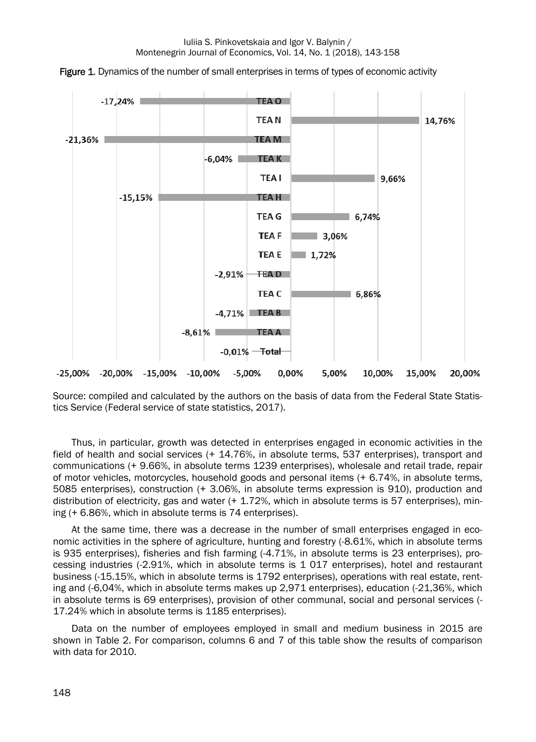

**Figure 1.** Dynamics of the number of small enterprises in terms of types of economic activity

Source: compiled and calculated by the authors on the basis of data from the Federal State Statistics Service (Federal service of state statistics, 2017).

Thus, in particular, growth was detected in enterprises engaged in economic activities in the field of health and social services (+ 14.76%, in absolute terms, 537 enterprises), transport and communications (+ 9.66%, in absolute terms 1239 enterprises), wholesale and retail trade, repair of motor vehicles, motorcycles, household goods and personal items (+ 6.74%, in absolute terms, 5085 enterprises), construction (+ 3.06%, in absolute terms expression is 910), production and distribution of electricity, gas and water (+ 1.72%, which in absolute terms is 57 enterprises), mining (+ 6.86%, which in absolute terms is 74 enterprises).

At the same time, there was a decrease in the number of small enterprises engaged in economic activities in the sphere of agriculture, hunting and forestry (-8.61%, which in absolute terms is 935 enterprises), fisheries and fish farming (-4.71%, in absolute terms is 23 enterprises), processing industries (-2.91%, which in absolute terms is 1 017 enterprises), hotel and restaurant business (-15.15%, which in absolute terms is 1792 enterprises), operations with real estate, renting and (-6,04%, which in absolute terms makes up 2,971 enterprises), education (-21,36%, which in absolute terms is 69 enterprises), provision of other communal, social and personal services (- 17.24% which in absolute terms is 1185 enterprises).

Data on the number of employees employed in small and medium business in 2015 are shown in Table 2. For comparison, columns 6 and 7 of this table show the results of comparison with data for 2010.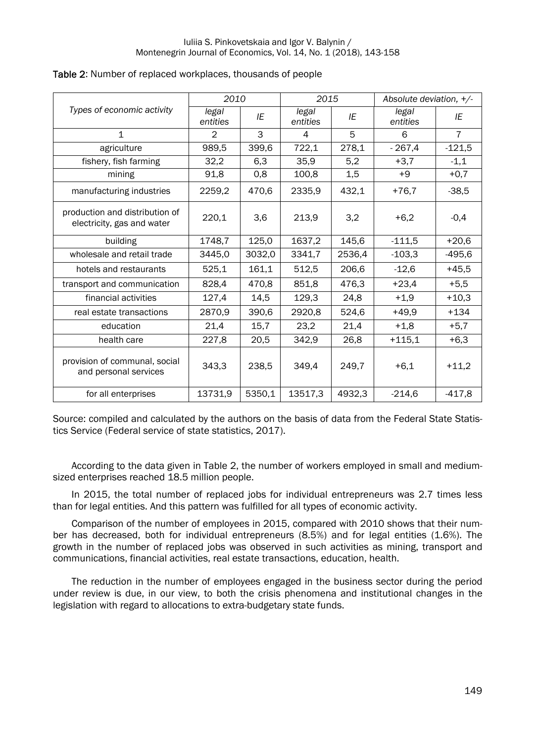|                                                              | 2010              |        | 2015              |        | Absolute deviation, $+/-$ |                |
|--------------------------------------------------------------|-------------------|--------|-------------------|--------|---------------------------|----------------|
| Types of economic activity                                   | legal<br>entities | ΙE     | legal<br>entities | ΙE     | legal<br>entities         | ΙE             |
| $\mathbf{1}$                                                 | 2                 | 3      | 4                 | 5      | 6                         | $\overline{7}$ |
| agriculture                                                  | 989,5             | 399,6  | 722,1             | 278,1  | $-267,4$                  | $-121,5$       |
| fishery, fish farming                                        | 32,2              | 6,3    | 35,9              | 5,2    | $+3,7$                    | $-1,1$         |
| mining                                                       | 91,8              | 0,8    | 100,8             | 1,5    | $+9$                      | $+0,7$         |
| manufacturing industries                                     | 2259,2            | 470,6  | 2335,9            | 432,1  | $+76,7$                   | $-38,5$        |
| production and distribution of<br>electricity, gas and water | 220,1             | 3,6    | 213,9             | 3,2    | $+6,2$                    | $-0,4$         |
| building                                                     | 1748,7            | 125,0  | 1637,2            | 145,6  | $-111,5$                  | $+20,6$        |
| wholesale and retail trade                                   | 3445,0            | 3032,0 | 3341,7            | 2536,4 | $-103,3$                  | $-495,6$       |
| hotels and restaurants                                       | 525,1             | 161,1  | 512,5             | 206,6  | $-12,6$                   | $+45,5$        |
| transport and communication                                  | 828,4             | 470,8  | 851,8             | 476,3  | +23,4                     | $+5,5$         |
| financial activities                                         | 127,4             | 14,5   | 129,3             | 24,8   | $+1,9$                    | $+10,3$        |
| real estate transactions                                     | 2870,9            | 390,6  | 2920,8            | 524,6  | $+49,9$                   | $+134$         |
| education                                                    | 21,4              | 15,7   | 23,2              | 21,4   | $+1,8$                    | $+5,7$         |
| health care                                                  | 227,8             | 20,5   | 342,9             | 26,8   | $+115,1$                  | $+6,3$         |
| provision of communal, social<br>and personal services       | 343,3             | 238,5  | 349,4             | 249,7  | $+6,1$                    | $+11,2$        |
| for all enterprises                                          | 13731,9           | 5350,1 | 13517,3           | 4932,3 | $-214,6$                  | $-417,8$       |

Table 2: Number of replaced workplaces, thousands of people

Source: compiled and calculated by the authors on the basis of data from the Federal State Statistics Service (Federal service of state statistics, 2017).

According to the data given in Table 2, the number of workers employed in small and mediumsized enterprises reached 18.5 million people.

In 2015, the total number of replaced jobs for individual entrepreneurs was 2.7 times less than for legal entities. And this pattern was fulfilled for all types of economic activity.

Comparison of the number of employees in 2015, compared with 2010 shows that their number has decreased, both for individual entrepreneurs (8.5%) and for legal entities (1.6%). The growth in the number of replaced jobs was observed in such activities as mining, transport and communications, financial activities, real estate transactions, education, health.

The reduction in the number of employees engaged in the business sector during the period under review is due, in our view, to both the crisis phenomena and institutional changes in the legislation with regard to allocations to extra-budgetary state funds.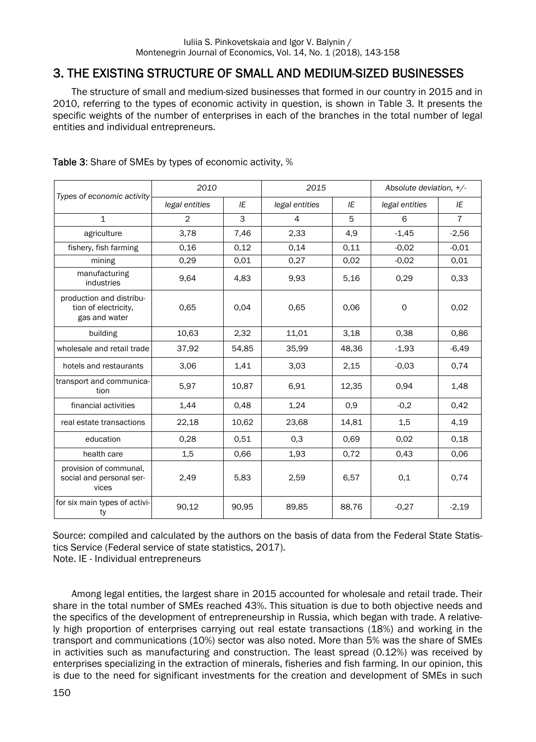## 3. THE EXISTING STRUCTURE OF SMALL AND MEDIUM-SIZED BUSINESSES

The structure of small and medium-sized businesses that formed in our country in 2015 and in 2010, referring to the types of economic activity in question, is shown in Table 3. It presents the specific weights of the number of enterprises in each of the branches in the total number of legal entities and individual entrepreneurs.

|                                                                   | 2010           |       | 2015           |                 | Absolute deviation, $+/-$ |                |
|-------------------------------------------------------------------|----------------|-------|----------------|-----------------|---------------------------|----------------|
| Types of economic activity                                        | legal entities | IE    | legal entities | ΙE              | legal entities            | IE             |
| $\mathbf{1}$                                                      | $\overline{2}$ | 3     | 4              | 5               | 6                         | $\overline{7}$ |
| agriculture                                                       | 3,78           | 7,46  | 2,33           | 4.9             | $-1,45$                   | $-2,56$        |
| fishery, fish farming                                             | 0,16           | 0,12  | 0,14           | 0,11            | $-0,02$                   | $-0,01$        |
| mining                                                            | 0,29           | 0.01  | 0,27           | 0,02<br>$-0,02$ |                           | 0,01           |
| manufacturing<br>industries                                       | 9,64           | 4,83  | 9,93           | 5,16            | 0.29                      | 0.33           |
| production and distribu-<br>tion of electricity,<br>gas and water | 0.65           | 0,04  | 0.65           | 0.06            | 0                         | 0,02           |
| building                                                          | 10.63          | 2,32  | 11,01          | 3,18            | 0,38                      | 0.86           |
| wholesale and retail trade                                        | 37,92          | 54,85 | 35,99          | 48,36           | $-1,93$                   | $-6,49$        |
| hotels and restaurants                                            | 3,06           | 1,41  | 3,03           | 2,15            | $-0.03$                   | 0.74           |
| transport and communica-<br>tion                                  | 5,97           | 10,87 | 6,91           | 12,35           | 0,94                      | 1,48           |
| financial activities                                              | 1,44           | 0,48  | 1,24           | 0,9             | $-0,2$                    | 0,42           |
| real estate transactions                                          | 22,18          | 10,62 | 23,68          | 14,81           | 1,5                       | 4,19           |
| education                                                         | 0,28           | 0.51  | 0,3            | 0.69            | 0,02                      | 0,18           |
| health care                                                       | 1,5            | 0.66  | 1,93           | 0,72            | 0.43                      | 0.06           |
| provision of communal,<br>social and personal ser-<br>vices       | 2,49           | 5,83  | 2,59           | 6,57            | 0,1                       | 0.74           |
| for six main types of activi-<br>ty                               | 90,12          | 90.95 | 89,85          | 88,76           | $-0.27$                   | $-2,19$        |

Table 3: Share of SMEs by types of economic activity, %

Source: compiled and calculated by the authors on the basis of data from the Federal State Statistics Service (Federal service of state statistics, 2017). Note. IE - Individual entrepreneurs

Among legal entities, the largest share in 2015 accounted for wholesale and retail trade. Their share in the total number of SMEs reached 43%. This situation is due to both objective needs and the specifics of the development of entrepreneurship in Russia, which began with trade. A relatively high proportion of enterprises carrying out real estate transactions (18%) and working in the transport and communications (10%) sector was also noted. More than 5% was the share of SMEs in activities such as manufacturing and construction. The least spread (0.12%) was received by enterprises specializing in the extraction of minerals, fisheries and fish farming. In our opinion, this is due to the need for significant investments for the creation and development of SMEs in such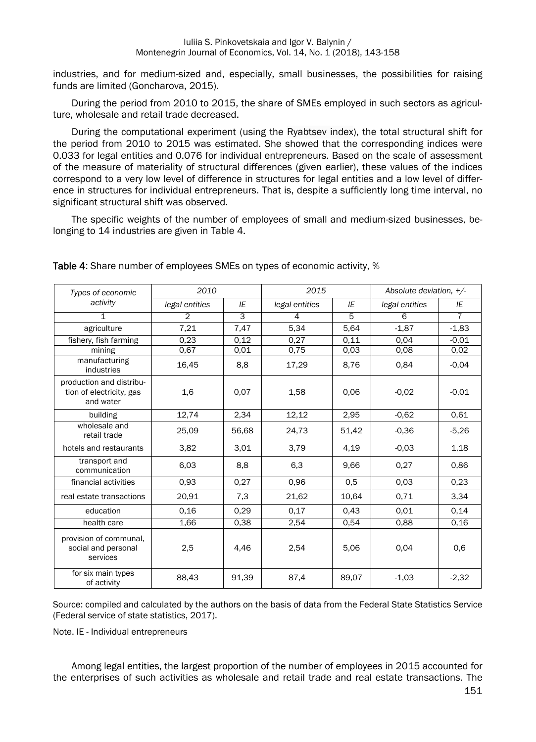#### Iuliia S. Pinkovetskaia and Igor V. Balynin / Montenegrin Journal of Economics, Vol. 14, No. 1 (2018), 143-158

industries, and for medium-sized and, especially, small businesses, the possibilities for raising funds are limited (Goncharova, 2015).

During the period from 2010 to 2015, the share of SMEs employed in such sectors as agriculture, wholesale and retail trade decreased.

During the computational experiment (using the Ryabtsev index), the total structural shift for the period from 2010 to 2015 was estimated. She showed that the corresponding indices were 0.033 for legal entities and 0.076 for individual entrepreneurs. Based on the scale of assessment of the measure of materiality of structural differences (given earlier), these values of the indices correspond to a very low level of difference in structures for legal entities and a low level of difference in structures for individual entrepreneurs. That is, despite a sufficiently long time interval, no significant structural shift was observed.

The specific weights of the number of employees of small and medium-sized businesses, belonging to 14 industries are given in Table 4.

| Types of economic                                                 | 2010           |       | 2015           |                 | Absolute deviation, $+/-$ |                |
|-------------------------------------------------------------------|----------------|-------|----------------|-----------------|---------------------------|----------------|
| activity                                                          | legal entities | IE    | legal entities | IE              | legal entities            | IE             |
| 1                                                                 | $\mathbf{2}$   | 3     | 4              | 5               | 6                         | $\overline{7}$ |
| agriculture                                                       | 7,21           | 7,47  | 5,34           | 5,64<br>$-1,87$ |                           | $-1,83$        |
| fishery, fish farming                                             | 0,23           | 0.12  | 0.27           | 0.11            | 0.04                      | $-0.01$        |
| mining                                                            | 0,67           | 0.01  | 0,75           | 0.03            | 0.08                      | 0,02           |
| manufacturing<br>industries                                       | 16,45          | 8,8   | 17,29          | 8,76            | 0.84                      | $-0.04$        |
| production and distribu-<br>tion of electricity, gas<br>and water | 1,6            | 0.07  | 1,58           | 0.06            | $-0.02$                   | $-0.01$        |
| building                                                          | 12,74          | 2,34  | 12,12          | 2,95            | $-0.62$                   | 0.61           |
| wholesale and<br>retail trade                                     | 25,09          | 56,68 | 24,73          | 51,42           | $-0,36$                   | $-5,26$        |
| hotels and restaurants                                            | 3,82           | 3,01  | 3,79           | 4,19            | $-0,03$                   | 1,18           |
| transport and<br>communication                                    | 6.03           | 8,8   | 6,3            | 9,66            | 0.27                      | 0.86           |
| financial activities                                              | 0,93           | 0.27  | 0.96           | 0.5             | 0.03                      | 0.23           |
| real estate transactions                                          | 20,91          | 7,3   | 21,62          | 10.64           | 0,71                      | 3,34           |
| education                                                         | 0,16           | 0,29  | 0.17           | 0.43            | 0.01                      | 0,14           |
| health care                                                       | 1,66           | 0.38  | 2,54           | 0.54            | 0.88                      | 0,16           |
| provision of communal,<br>social and personal<br>services         | 2,5            | 4,46  | 2,54           | 5,06            | 0.04                      | 0.6            |
| for six main types<br>of activity                                 | 88,43          | 91,39 | 87,4           | 89,07           | $-1.03$                   | $-2,32$        |

Table 4: Share number of employees SMEs on types of economic activity, %

Source: compiled and calculated by the authors on the basis of data from the Federal State Statistics Service (Federal service of state statistics, 2017).

Note. IE - Individual entrepreneurs

Among legal entities, the largest proportion of the number of employees in 2015 accounted for the enterprises of such activities as wholesale and retail trade and real estate transactions. The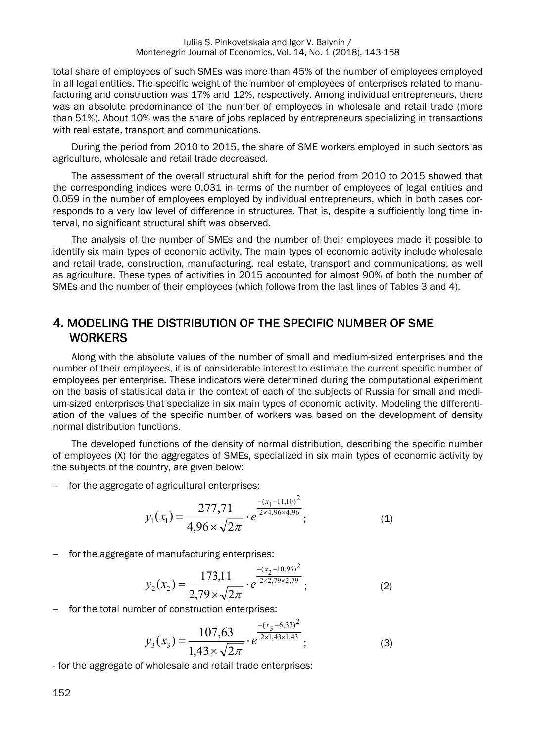total share of employees of such SMEs was more than 45% of the number of employees employed in all legal entities. The specific weight of the number of employees of enterprises related to manufacturing and construction was 17% and 12%, respectively. Among individual entrepreneurs, there was an absolute predominance of the number of employees in wholesale and retail trade (more than 51%). About 10% was the share of jobs replaced by entrepreneurs specializing in transactions with real estate, transport and communications.

During the period from 2010 to 2015, the share of SME workers employed in such sectors as agriculture, wholesale and retail trade decreased.

The assessment of the overall structural shift for the period from 2010 to 2015 showed that the corresponding indices were 0.031 in terms of the number of employees of legal entities and 0.059 in the number of employees employed by individual entrepreneurs, which in both cases corresponds to a very low level of difference in structures. That is, despite a sufficiently long time interval, no significant structural shift was observed.

The analysis of the number of SMEs and the number of their employees made it possible to identify six main types of economic activity. The main types of economic activity include wholesale and retail trade, construction, manufacturing, real estate, transport and communications, as well as agriculture. These types of activities in 2015 accounted for almost 90% of both the number of SMEs and the number of their employees (which follows from the last lines of Tables 3 and 4).

## 4. MODELING THE DISTRIBUTION OF THE SPECIFIC NUMBER OF SME **WORKERS**

Along with the absolute values of the number of small and medium-sized enterprises and the number of their employees, it is of considerable interest to estimate the current specific number of employees per enterprise. These indicators were determined during the computational experiment on the basis of statistical data in the context of each of the subjects of Russia for small and medium-sized enterprises that specialize in six main types of economic activity. Modeling the differentiation of the values of the specific number of workers was based on the development of density normal distribution functions.

The developed functions of the density of normal distribution, describing the specific number of employees (X) for the aggregates of SMEs, specialized in six main types of economic activity by the subjects of the country, are given below:

 $-$  for the aggregate of agricultural enterprises:

$$
y_1(x_1) = \frac{277,71}{4,96 \times \sqrt{2\pi}} \cdot e^{\frac{-(x_1 - 11,10)^2}{2 \times 4,96 \times 4,96}};
$$
 (1)

 $-$  for the aggregate of manufacturing enterprises:

$$
y_2(x_2) = \frac{173.11}{2.79 \times \sqrt{2\pi}} \cdot e^{\frac{-(x_2 - 10.95)^2}{2 \times 2.79 \times 2.79}};
$$
 (2)

 $-$  for the total number of construction enterprises:

$$
y_3(x_3) = \frac{107,63}{1,43 \times \sqrt{2\pi}} \cdot e^{\frac{-(x_3 - 6,33)^2}{2 \times 1,43 \times 1,43}};
$$
 (3)

- for the aggregate of wholesale and retail trade enterprises: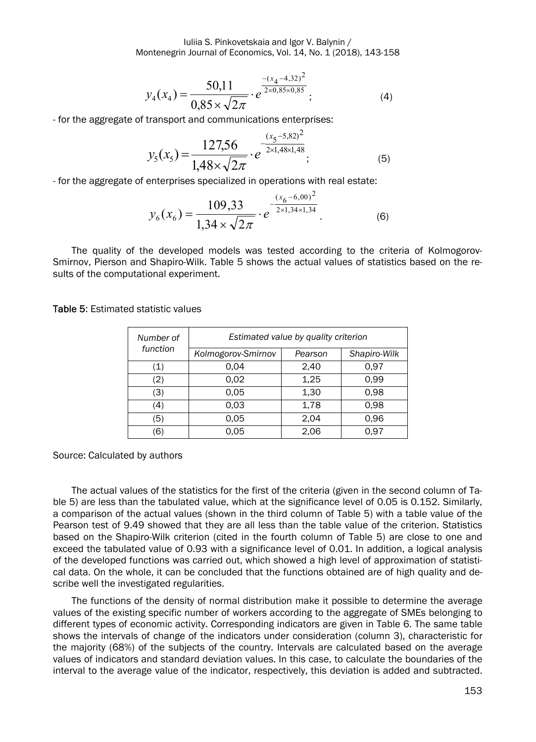$$
y_4(x_4) = \frac{50,11}{0,85 \times \sqrt{2\pi}} \cdot e^{\frac{-(x_4 - 4,32)^2}{2 \times 0,85 \times 0,85}};
$$
 (4)

- for the aggregate of transport and communications enterprises:

$$
y_5(x_5) = \frac{127,56}{1,48 \times \sqrt{2\pi}} \cdot e^{-\frac{(x_5 - 5,82)^2}{2 \times 1,48 \times 1,48}};
$$
 (5)

- for the aggregate of enterprises specialized in operations with real estate:

$$
y_6(x_6) = \frac{109,33}{1,34 \times \sqrt{2\pi}} \cdot e^{-\frac{(x_6 - 6,00)^2}{2 \times 1,34 \times 1,34}}.
$$
 (6)

The quality of the developed models was tested according to the criteria of Kolmogorov-Smirnov, Pierson and Shapiro-Wilk. Table 5 shows the actual values of statistics based on the results of the computational experiment.

Table 5: Estimated statistic values

| Number of         | Estimated value by quality criterion |         |              |  |  |  |  |
|-------------------|--------------------------------------|---------|--------------|--|--|--|--|
| function          | Kolmogorov-Smirnov                   | Pearson | Shapiro-Wilk |  |  |  |  |
| $\left( 1\right)$ | 0,04                                 | 2,40    | 0,97         |  |  |  |  |
| (2)               | 0,02                                 | 1,25    | 0.99         |  |  |  |  |
| (3)               | 0,05                                 | 1,30    | 0,98         |  |  |  |  |
| (4)               | 0,03                                 | 1,78    | 0,98         |  |  |  |  |
| (5)               | 0,05                                 | 2,04    | 0,96         |  |  |  |  |
| 6)                | 0.05                                 | 2.06    | 0.97         |  |  |  |  |

Source: Calculated by authors

The actual values of the statistics for the first of the criteria (given in the second column of Table 5) are less than the tabulated value, which at the significance level of 0.05 is 0.152. Similarly, a comparison of the actual values (shown in the third column of Table 5) with a table value of the Pearson test of 9.49 showed that they are all less than the table value of the criterion. Statistics based on the Shapiro-Wilk criterion (cited in the fourth column of Table 5) are close to one and exceed the tabulated value of 0.93 with a significance level of 0.01. In addition, a logical analysis of the developed functions was carried out, which showed a high level of approximation of statistical data. On the whole, it can be concluded that the functions obtained are of high quality and describe well the investigated regularities.

The functions of the density of normal distribution make it possible to determine the average values of the existing specific number of workers according to the aggregate of SMEs belonging to different types of economic activity. Corresponding indicators are given in Table 6. The same table shows the intervals of change of the indicators under consideration (column 3), characteristic for the majority (68%) of the subjects of the country. Intervals are calculated based on the average values of indicators and standard deviation values. In this case, to calculate the boundaries of the interval to the average value of the indicator, respectively, this deviation is added and subtracted.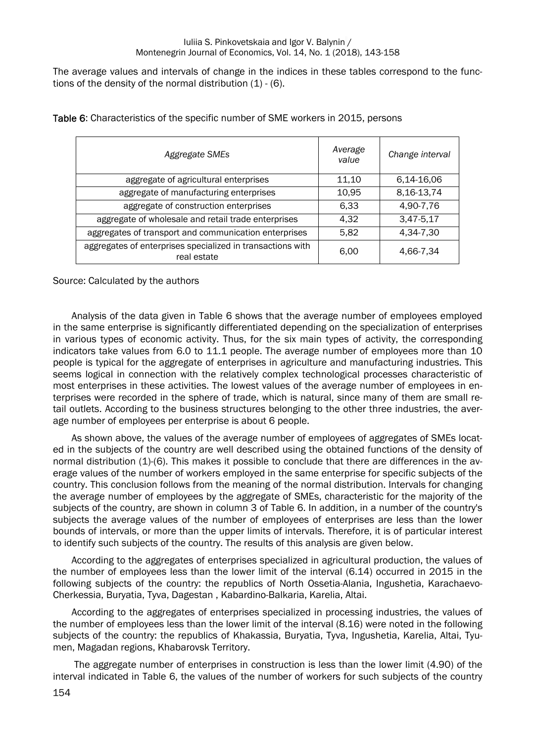The average values and intervals of change in the indices in these tables correspond to the functions of the density of the normal distribution  $(1)$  -  $(6)$ .

| Aggregate SMEs                                                            | Average<br>value | Change interval |
|---------------------------------------------------------------------------|------------------|-----------------|
| aggregate of agricultural enterprises                                     | 11,10            | 6,14-16,06      |
| aggregate of manufacturing enterprises                                    | 10,95            | 8, 16-13, 74    |
| aggregate of construction enterprises                                     | 6.33             | 4,90-7,76       |
| aggregate of wholesale and retail trade enterprises                       | 4.32             | 3,47-5,17       |
| aggregates of transport and communication enterprises                     | 5,82             | 4,34-7,30       |
| aggregates of enterprises specialized in transactions with<br>real estate | 6.00             | 4,66-7,34       |

Table 6: Characteristics of the specific number of SME workers in 2015, persons

Source: Calculated by the authors

Analysis of the data given in Table 6 shows that the average number of employees employed in the same enterprise is significantly differentiated depending on the specialization of enterprises in various types of economic activity. Thus, for the six main types of activity, the corresponding indicators take values from 6.0 to 11.1 people. The average number of employees more than 10 people is typical for the aggregate of enterprises in agriculture and manufacturing industries. This seems logical in connection with the relatively complex technological processes characteristic of most enterprises in these activities. The lowest values of the average number of employees in enterprises were recorded in the sphere of trade, which is natural, since many of them are small retail outlets. According to the business structures belonging to the other three industries, the average number of employees per enterprise is about 6 people.

As shown above, the values of the average number of employees of aggregates of SMEs located in the subjects of the country are well described using the obtained functions of the density of normal distribution (1)-(6). This makes it possible to conclude that there are differences in the average values of the number of workers employed in the same enterprise for specific subjects of the country. This conclusion follows from the meaning of the normal distribution. Intervals for changing the average number of employees by the aggregate of SMEs, characteristic for the majority of the subjects of the country, are shown in column 3 of Table 6. In addition, in a number of the country's subjects the average values of the number of employees of enterprises are less than the lower bounds of intervals, or more than the upper limits of intervals. Therefore, it is of particular interest to identify such subjects of the country. The results of this analysis are given below.

According to the aggregates of enterprises specialized in agricultural production, the values of the number of employees less than the lower limit of the interval (6.14) occurred in 2015 in the following subjects of the country: the republics of North Ossetia-Alania, Ingushetia, Karachaevo-Cherkessia, Buryatia, Tyva, Dagestan , Kabardino-Balkaria, Karelia, Altai.

According to the aggregates of enterprises specialized in processing industries, the values of the number of employees less than the lower limit of the interval (8.16) were noted in the following subjects of the country: the republics of Khakassia, Buryatia, Tyva, Ingushetia, Karelia, Altai, Tyumen, Magadan regions, Khabarovsk Territory.

 The aggregate number of enterprises in construction is less than the lower limit (4.90) of the interval indicated in Table 6, the values of the number of workers for such subjects of the country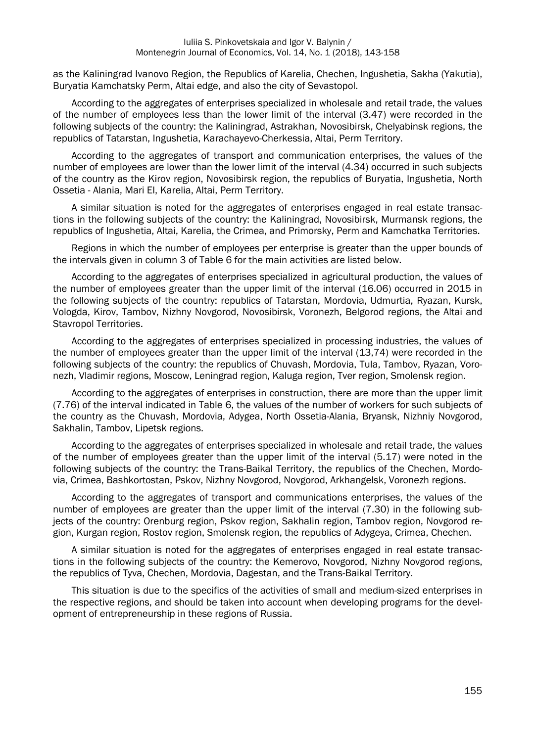as the Kaliningrad Ivanovo Region, the Republics of Karelia, Chechen, Ingushetia, Sakha (Yakutia), Buryatia Kamchatsky Perm, Altai edge, and also the city of Sevastopol.

According to the aggregates of enterprises specialized in wholesale and retail trade, the values of the number of employees less than the lower limit of the interval (3.47) were recorded in the following subjects of the country: the Kaliningrad, Astrakhan, Novosibirsk, Chelyabinsk regions, the republics of Tatarstan, Ingushetia, Karachayevo-Cherkessia, Altai, Perm Territory.

According to the aggregates of transport and communication enterprises, the values of the number of employees are lower than the lower limit of the interval (4.34) occurred in such subjects of the country as the Kirov region, Novosibirsk region, the republics of Buryatia, Ingushetia, North Ossetia - Alania, Mari El, Karelia, Altai, Perm Territory.

A similar situation is noted for the aggregates of enterprises engaged in real estate transactions in the following subjects of the country: the Kaliningrad, Novosibirsk, Murmansk regions, the republics of Ingushetia, Altai, Karelia, the Crimea, and Primorsky, Perm and Kamchatka Territories.

Regions in which the number of employees per enterprise is greater than the upper bounds of the intervals given in column 3 of Table 6 for the main activities are listed below.

According to the aggregates of enterprises specialized in agricultural production, the values of the number of employees greater than the upper limit of the interval (16.06) occurred in 2015 in the following subjects of the country: republics of Tatarstan, Mordovia, Udmurtia, Ryazan, Kursk, Vologda, Kirov, Tambov, Nizhny Novgorod, Novosibirsk, Voronezh, Belgorod regions, the Altai and Stavropol Territories.

According to the aggregates of enterprises specialized in processing industries, the values of the number of employees greater than the upper limit of the interval (13,74) were recorded in the following subjects of the country: the republics of Chuvash, Mordovia, Tula, Tambov, Ryazan, Voronezh, Vladimir regions, Moscow, Leningrad region, Kaluga region, Tver region, Smolensk region.

According to the aggregates of enterprises in construction, there are more than the upper limit (7.76) of the interval indicated in Table 6, the values of the number of workers for such subjects of the country as the Chuvash, Mordovia, Adygea, North Ossetia-Alania, Bryansk, Nizhniy Novgorod, Sakhalin, Tambov, Lipetsk regions.

According to the aggregates of enterprises specialized in wholesale and retail trade, the values of the number of employees greater than the upper limit of the interval (5.17) were noted in the following subjects of the country: the Trans-Baikal Territory, the republics of the Chechen, Mordovia, Crimea, Bashkortostan, Pskov, Nizhny Novgorod, Novgorod, Arkhangelsk, Voronezh regions.

According to the aggregates of transport and communications enterprises, the values of the number of employees are greater than the upper limit of the interval (7.30) in the following subjects of the country: Orenburg region, Pskov region, Sakhalin region, Tambov region, Novgorod region, Kurgan region, Rostov region, Smolensk region, the republics of Adygeya, Crimea, Chechen.

A similar situation is noted for the aggregates of enterprises engaged in real estate transactions in the following subjects of the country: the Kemerovo, Novgorod, Nizhny Novgorod regions, the republics of Tyva, Chechen, Mordovia, Dagestan, and the Trans-Baikal Territory.

This situation is due to the specifics of the activities of small and medium-sized enterprises in the respective regions, and should be taken into account when developing programs for the development of entrepreneurship in these regions of Russia.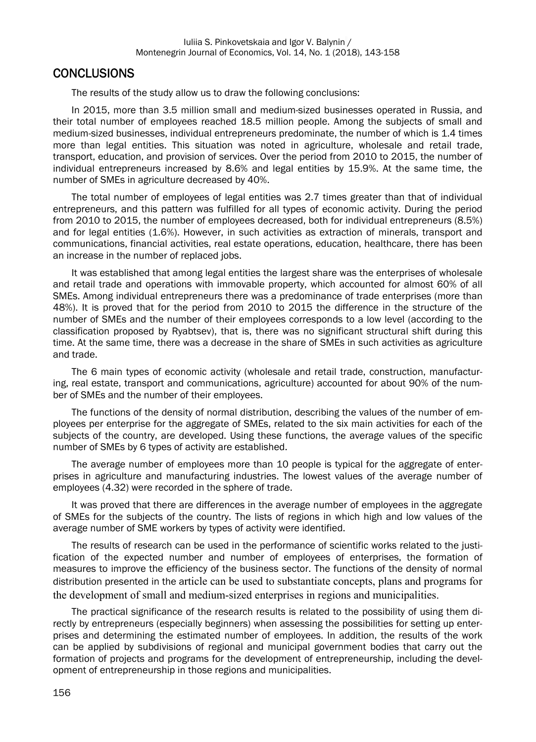#### **CONCLUSIONS**

The results of the study allow us to draw the following conclusions:

In 2015, more than 3.5 million small and medium-sized businesses operated in Russia, and their total number of employees reached 18.5 million people. Among the subjects of small and medium-sized businesses, individual entrepreneurs predominate, the number of which is 1.4 times more than legal entities. This situation was noted in agriculture, wholesale and retail trade, transport, education, and provision of services. Over the period from 2010 to 2015, the number of individual entrepreneurs increased by 8.6% and legal entities by 15.9%. At the same time, the number of SMEs in agriculture decreased by 40%.

The total number of employees of legal entities was 2.7 times greater than that of individual entrepreneurs, and this pattern was fulfilled for all types of economic activity. During the period from 2010 to 2015, the number of employees decreased, both for individual entrepreneurs (8.5%) and for legal entities (1.6%). However, in such activities as extraction of minerals, transport and communications, financial activities, real estate operations, education, healthcare, there has been an increase in the number of replaced jobs.

It was established that among legal entities the largest share was the enterprises of wholesale and retail trade and operations with immovable property, which accounted for almost 60% of all SMEs. Among individual entrepreneurs there was a predominance of trade enterprises (more than 48%). It is proved that for the period from 2010 to 2015 the difference in the structure of the number of SMEs and the number of their employees corresponds to a low level (according to the classification proposed by Ryabtsev), that is, there was no significant structural shift during this time. At the same time, there was a decrease in the share of SMEs in such activities as agriculture and trade.

The 6 main types of economic activity (wholesale and retail trade, construction, manufacturing, real estate, transport and communications, agriculture) accounted for about 90% of the number of SMEs and the number of their employees.

The functions of the density of normal distribution, describing the values of the number of employees per enterprise for the aggregate of SMEs, related to the six main activities for each of the subjects of the country, are developed. Using these functions, the average values of the specific number of SMEs by 6 types of activity are established.

The average number of employees more than 10 people is typical for the aggregate of enterprises in agriculture and manufacturing industries. The lowest values of the average number of employees (4.32) were recorded in the sphere of trade.

It was proved that there are differences in the average number of employees in the aggregate of SMEs for the subjects of the country. The lists of regions in which high and low values of the average number of SME workers by types of activity were identified.

The results of research can be used in the performance of scientific works related to the justification of the expected number and number of employees of enterprises, the formation of measures to improve the efficiency of the business sector. The functions of the density of normal distribution presented in the article can be used to substantiate concepts, plans and programs for the development of small and medium-sized enterprises in regions and municipalities.

The practical significance of the research results is related to the possibility of using them directly by entrepreneurs (especially beginners) when assessing the possibilities for setting up enterprises and determining the estimated number of employees. In addition, the results of the work can be applied by subdivisions of regional and municipal government bodies that carry out the formation of projects and programs for the development of entrepreneurship, including the development of entrepreneurship in those regions and municipalities.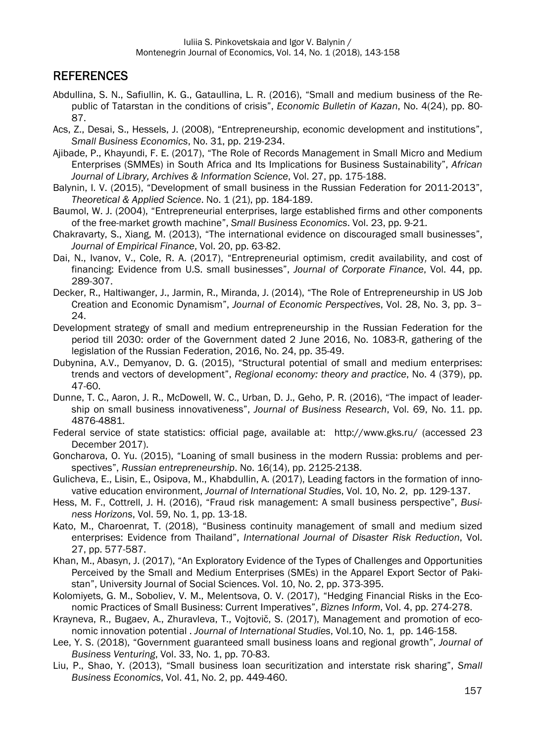### **REFERENCES**

- Abdullina, S. N., Safiullin, K. G., Gataullina, L. R. (2016), "Small and medium business of the Republic of Tatarstan in the conditions of crisis", *Economic Bulletin of Kazan*, No. 4(24), pp. 80- 87.
- Acs, Z., Desai, S., Hessels, J. (2008), "Entrepreneurship, economic development and institutions", *Small Business Economics*, No. 31, pp. 219-234.
- Ajibade, P., Khayundi, F. E. (2017), "The Role of Records Management in Small Micro and Medium Enterprises (SMMEs) in South Africa and Its Implications for Business Sustainability", *African Journal of Library, Archives & Information Science*, Vol. 27, pp. 175-188.
- Balynin, I. V. (2015), "Development of small business in the Russian Federation for 2011-2013", *Theoretical & Applied Science*. No. 1 (21), pp. 184-189.
- Baumol, W. J. (2004), "Entrepreneurial enterprises, large established firms and other components of the free-market growth machine", *Small Business Economics*. Vol. 23, pp. 9-21.
- Chakravarty, S., Xiang, M. (2013), "The international evidence on discouraged small businesses", *Journal of Empirical Finance*, Vol. 20, pp. 63-82.
- Dai, N., Ivanov, V., Cole, R. A. (2017), "Entrepreneurial optimism, credit availability, and cost of financing: Evidence from U.S. small businesses", *Journal of Corporate Finance*, Vol. 44, pp. 289-307.
- Decker, R., Haltiwanger, J., Jarmin, R., Miranda, J. (2014), "The Role of Entrepreneurship in US Job Creation and Economic Dynamism", *Journal of Economic Perspectives*, Vol. 28, No. 3, pp. 3– 24.
- Development strategy of small and medium entrepreneurship in the Russian Federation for the period till 2030: order of the Government dated 2 June 2016, No. 1083-R, gathering of the legislation of the Russian Federation, 2016, No. 24, pp. 35-49.
- Dubynina, A.V., Demyanov, D. G. (2015), "Structural potential of small and medium enterprises: trends and vectors of development", *Regional economy: theory and practice*, No. 4 (379), pp. 47-60.
- Dunne, T. C., Aaron, J. R., McDowell, W. C., Urban, D. J., Geho, P. R. (2016), "The impact of leadership on small business innovativeness", *Journal of Business Research*, Vol. 69, No. 11. pp. 4876-4881.
- Federal service of state statistics: official page, available at: http://www.gks.ru/ (accessed 23 December 2017).
- Goncharova, O. Yu. (2015), "Loaning of small business in the modern Russia: problems and perspectives", *Russian entrepreneurship*. No. 16(14), pp. 2125-2138.
- Gulicheva, E., Lisin, E., Osipova, M., Khabdullin, A. (2017), Leading factors in the formation of innovative education environment, *Journal of International Studies*, Vol. 10, No. 2, pp. 129-137.
- Hess, M. F., Cottrell, J. H. (2016), "Fraud risk management: A small business perspective", *Business Horizons*, Vol. 59, No. 1, pp. 13-18.
- Kato, M., Charoenrat, T. (2018), "Business continuity management of small and medium sized enterprises: Evidence from Thailand", *International Journal of Disaster Risk Reduction*, Vol. 27, pp. 577-587.
- Khan, M., Abasyn, J. (2017), "An Exploratory Evidence of the Types of Challenges and Opportunities Perceived by the Small and Medium Enterprises (SMEs) in the Apparel Export Sector of Pakistan", University Journal of Social Sciences. Vol. 10, No. 2, pp. 373-395.
- Kolomiyets, G. M., Soboliev, V. M., Melentsova, O. V. (2017), "Hedging Financial Risks in the Economic Practices of Small Business: Current Imperatives", *Bìznes Inform*, Vol. 4, pp. 274-278.
- Кrayneva, R., Bugaev, A., Zhuravleva, T., Vojtovič, S. (2017), Management and promotion of economic innovation potential . *Journal of International Studies*, Vol.10, No. 1, pp. 146-158.
- Lee, Y. S. (2018), "Government guaranteed small business loans and regional growth", *Journal of Business Venturing*, Vol. 33, No. 1, pp. 70-83.
- Liu, P., Shao, Y. (2013), "Small business loan securitization and interstate risk sharing", *Small Business Economics*, Vol. 41, No. 2, pp. 449-460.